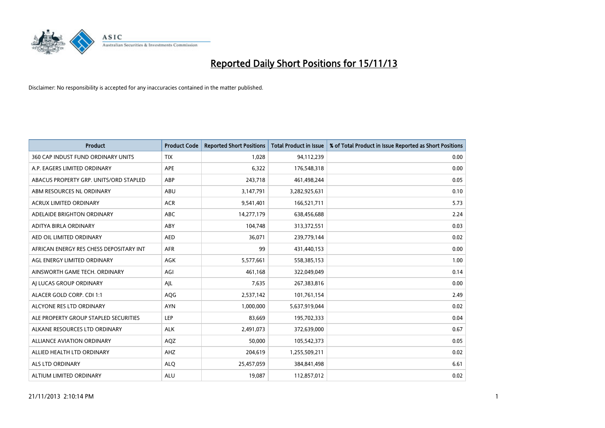

| <b>Product</b>                          | <b>Product Code</b> | <b>Reported Short Positions</b> | Total Product in Issue | % of Total Product in Issue Reported as Short Positions |
|-----------------------------------------|---------------------|---------------------------------|------------------------|---------------------------------------------------------|
| 360 CAP INDUST FUND ORDINARY UNITS      | <b>TIX</b>          | 1,028                           | 94,112,239             | 0.00                                                    |
| A.P. EAGERS LIMITED ORDINARY            | APE                 | 6,322                           | 176,548,318            | 0.00                                                    |
| ABACUS PROPERTY GRP. UNITS/ORD STAPLED  | ABP                 | 243,718                         | 461,498,244            | 0.05                                                    |
| ABM RESOURCES NL ORDINARY               | ABU                 | 3,147,791                       | 3,282,925,631          | 0.10                                                    |
| <b>ACRUX LIMITED ORDINARY</b>           | <b>ACR</b>          | 9,541,401                       | 166,521,711            | 5.73                                                    |
| ADELAIDE BRIGHTON ORDINARY              | <b>ABC</b>          | 14,277,179                      | 638,456,688            | 2.24                                                    |
| ADITYA BIRLA ORDINARY                   | <b>ABY</b>          | 104,748                         | 313,372,551            | 0.03                                                    |
| AED OIL LIMITED ORDINARY                | <b>AED</b>          | 36,071                          | 239,779,144            | 0.02                                                    |
| AFRICAN ENERGY RES CHESS DEPOSITARY INT | <b>AFR</b>          | 99                              | 431,440,153            | 0.00                                                    |
| AGL ENERGY LIMITED ORDINARY             | <b>AGK</b>          | 5,577,661                       | 558,385,153            | 1.00                                                    |
| AINSWORTH GAME TECH. ORDINARY           | AGI                 | 461,168                         | 322,049,049            | 0.14                                                    |
| AI LUCAS GROUP ORDINARY                 | AJL                 | 7,635                           | 267,383,816            | 0.00                                                    |
| ALACER GOLD CORP. CDI 1:1               | AQG                 | 2,537,142                       | 101,761,154            | 2.49                                                    |
| ALCYONE RES LTD ORDINARY                | <b>AYN</b>          | 1,000,000                       | 5,637,919,044          | 0.02                                                    |
| ALE PROPERTY GROUP STAPLED SECURITIES   | <b>LEP</b>          | 83,669                          | 195,702,333            | 0.04                                                    |
| ALKANE RESOURCES LTD ORDINARY           | <b>ALK</b>          | 2,491,073                       | 372,639,000            | 0.67                                                    |
| ALLIANCE AVIATION ORDINARY              | AQZ                 | 50,000                          | 105,542,373            | 0.05                                                    |
| ALLIED HEALTH LTD ORDINARY              | AHZ                 | 204,619                         | 1,255,509,211          | 0.02                                                    |
| ALS LTD ORDINARY                        | <b>ALO</b>          | 25,457,059                      | 384, 841, 498          | 6.61                                                    |
| ALTIUM LIMITED ORDINARY                 | <b>ALU</b>          | 19,087                          | 112,857,012            | 0.02                                                    |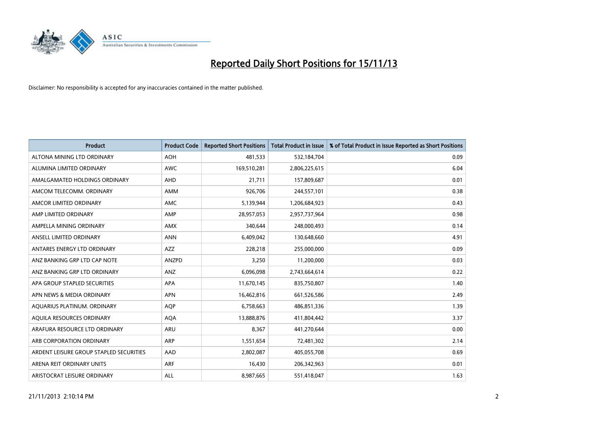

| <b>Product</b>                          | <b>Product Code</b> | <b>Reported Short Positions</b> | <b>Total Product in Issue</b> | % of Total Product in Issue Reported as Short Positions |
|-----------------------------------------|---------------------|---------------------------------|-------------------------------|---------------------------------------------------------|
| ALTONA MINING LTD ORDINARY              | <b>AOH</b>          | 481,533                         | 532,184,704                   | 0.09                                                    |
| ALUMINA LIMITED ORDINARY                | <b>AWC</b>          | 169,510,281                     | 2,806,225,615                 | 6.04                                                    |
| AMALGAMATED HOLDINGS ORDINARY           | <b>AHD</b>          | 21,711                          | 157,809,687                   | 0.01                                                    |
| AMCOM TELECOMM. ORDINARY                | AMM                 | 926,706                         | 244,557,101                   | 0.38                                                    |
| AMCOR LIMITED ORDINARY                  | AMC                 | 5,139,944                       | 1,206,684,923                 | 0.43                                                    |
| AMP LIMITED ORDINARY                    | AMP                 | 28,957,053                      | 2,957,737,964                 | 0.98                                                    |
| AMPELLA MINING ORDINARY                 | <b>AMX</b>          | 340,644                         | 248,000,493                   | 0.14                                                    |
| ANSELL LIMITED ORDINARY                 | <b>ANN</b>          | 6,409,042                       | 130,648,660                   | 4.91                                                    |
| ANTARES ENERGY LTD ORDINARY             | AZZ                 | 228,218                         | 255,000,000                   | 0.09                                                    |
| ANZ BANKING GRP LTD CAP NOTE            | ANZPD               | 3,250                           | 11,200,000                    | 0.03                                                    |
| ANZ BANKING GRP LTD ORDINARY            | ANZ                 | 6,096,098                       | 2,743,664,614                 | 0.22                                                    |
| APA GROUP STAPLED SECURITIES            | <b>APA</b>          | 11,670,145                      | 835,750,807                   | 1.40                                                    |
| APN NEWS & MEDIA ORDINARY               | <b>APN</b>          | 16,462,816                      | 661,526,586                   | 2.49                                                    |
| AQUARIUS PLATINUM. ORDINARY             | <b>AOP</b>          | 6,758,663                       | 486,851,336                   | 1.39                                                    |
| AQUILA RESOURCES ORDINARY               | <b>AQA</b>          | 13,888,876                      | 411,804,442                   | 3.37                                                    |
| ARAFURA RESOURCE LTD ORDINARY           | ARU                 | 8,367                           | 441,270,644                   | 0.00                                                    |
| ARB CORPORATION ORDINARY                | ARP                 | 1,551,654                       | 72,481,302                    | 2.14                                                    |
| ARDENT LEISURE GROUP STAPLED SECURITIES | AAD                 | 2,802,087                       | 405,055,708                   | 0.69                                                    |
| ARENA REIT ORDINARY UNITS               | <b>ARF</b>          | 16,430                          | 206,342,963                   | 0.01                                                    |
| ARISTOCRAT LEISURE ORDINARY             | ALL                 | 8,987,665                       | 551,418,047                   | 1.63                                                    |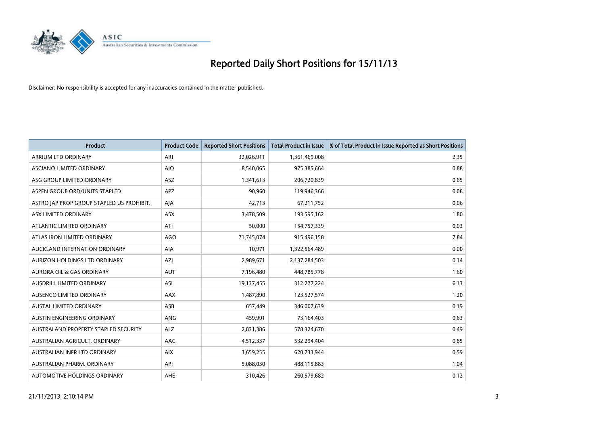

| <b>Product</b>                            | <b>Product Code</b> | <b>Reported Short Positions</b> | <b>Total Product in Issue</b> | % of Total Product in Issue Reported as Short Positions |
|-------------------------------------------|---------------------|---------------------------------|-------------------------------|---------------------------------------------------------|
| ARRIUM LTD ORDINARY                       | ARI                 | 32,026,911                      | 1,361,469,008                 | 2.35                                                    |
| ASCIANO LIMITED ORDINARY                  | <b>AIO</b>          | 8,540,065                       | 975,385,664                   | 0.88                                                    |
| ASG GROUP LIMITED ORDINARY                | ASZ                 | 1,341,613                       | 206,720,839                   | 0.65                                                    |
| ASPEN GROUP ORD/UNITS STAPLED             | APZ                 | 90,960                          | 119,946,366                   | 0.08                                                    |
| ASTRO JAP PROP GROUP STAPLED US PROHIBIT. | AJA                 | 42,713                          | 67,211,752                    | 0.06                                                    |
| ASX LIMITED ORDINARY                      | ASX                 | 3,478,509                       | 193,595,162                   | 1.80                                                    |
| ATLANTIC LIMITED ORDINARY                 | ATI                 | 50.000                          | 154,757,339                   | 0.03                                                    |
| ATLAS IRON LIMITED ORDINARY               | AGO                 | 71,745,074                      | 915,496,158                   | 7.84                                                    |
| AUCKLAND INTERNATION ORDINARY             | <b>AIA</b>          | 10,971                          | 1,322,564,489                 | 0.00                                                    |
| AURIZON HOLDINGS LTD ORDINARY             | AZJ                 | 2,989,671                       | 2,137,284,503                 | 0.14                                                    |
| AURORA OIL & GAS ORDINARY                 | <b>AUT</b>          | 7,196,480                       | 448,785,778                   | 1.60                                                    |
| AUSDRILL LIMITED ORDINARY                 | ASL                 | 19,137,455                      | 312,277,224                   | 6.13                                                    |
| AUSENCO LIMITED ORDINARY                  | AAX                 | 1,487,890                       | 123,527,574                   | 1.20                                                    |
| <b>AUSTAL LIMITED ORDINARY</b>            | ASB                 | 657,449                         | 346,007,639                   | 0.19                                                    |
| AUSTIN ENGINEERING ORDINARY               | ANG                 | 459,991                         | 73,164,403                    | 0.63                                                    |
| AUSTRALAND PROPERTY STAPLED SECURITY      | ALZ                 | 2,831,386                       | 578,324,670                   | 0.49                                                    |
| AUSTRALIAN AGRICULT, ORDINARY             | AAC                 | 4,512,337                       | 532,294,404                   | 0.85                                                    |
| AUSTRALIAN INFR LTD ORDINARY              | <b>AIX</b>          | 3,659,255                       | 620,733,944                   | 0.59                                                    |
| AUSTRALIAN PHARM, ORDINARY                | API                 | 5,088,030                       | 488,115,883                   | 1.04                                                    |
| AUTOMOTIVE HOLDINGS ORDINARY              | AHE                 | 310,426                         | 260,579,682                   | 0.12                                                    |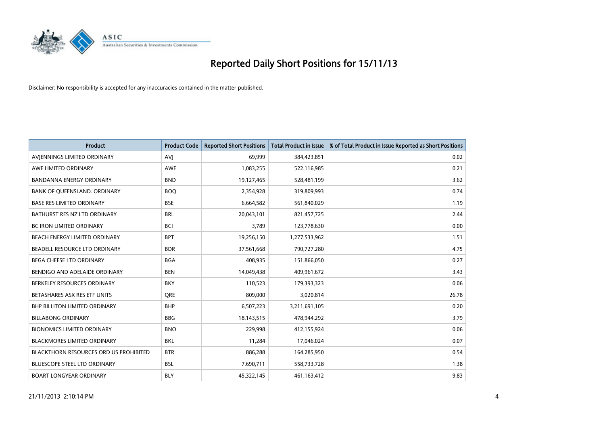

| <b>Product</b>                                | <b>Product Code</b> | <b>Reported Short Positions</b> | <b>Total Product in Issue</b> | % of Total Product in Issue Reported as Short Positions |
|-----------------------------------------------|---------------------|---------------------------------|-------------------------------|---------------------------------------------------------|
| AVIENNINGS LIMITED ORDINARY                   | <b>AVJ</b>          | 69,999                          | 384,423,851                   | 0.02                                                    |
| AWE LIMITED ORDINARY                          | AWE                 | 1,083,255                       | 522,116,985                   | 0.21                                                    |
| <b>BANDANNA ENERGY ORDINARY</b>               | <b>BND</b>          | 19,127,465                      | 528,481,199                   | 3.62                                                    |
| BANK OF QUEENSLAND. ORDINARY                  | <b>BOO</b>          | 2,354,928                       | 319,809,993                   | 0.74                                                    |
| <b>BASE RES LIMITED ORDINARY</b>              | <b>BSE</b>          | 6,664,582                       | 561,840,029                   | 1.19                                                    |
| BATHURST RES NZ LTD ORDINARY                  | <b>BRL</b>          | 20,043,101                      | 821,457,725                   | 2.44                                                    |
| <b>BC IRON LIMITED ORDINARY</b>               | <b>BCI</b>          | 3,789                           | 123,778,630                   | 0.00                                                    |
| BEACH ENERGY LIMITED ORDINARY                 | <b>BPT</b>          | 19,256,150                      | 1,277,533,962                 | 1.51                                                    |
| BEADELL RESOURCE LTD ORDINARY                 | <b>BDR</b>          | 37,561,668                      | 790,727,280                   | 4.75                                                    |
| <b>BEGA CHEESE LTD ORDINARY</b>               | <b>BGA</b>          | 408,935                         | 151,866,050                   | 0.27                                                    |
| BENDIGO AND ADELAIDE ORDINARY                 | <b>BEN</b>          | 14,049,438                      | 409,961,672                   | 3.43                                                    |
| BERKELEY RESOURCES ORDINARY                   | <b>BKY</b>          | 110,523                         | 179,393,323                   | 0.06                                                    |
| BETASHARES ASX RES ETF UNITS                  | <b>ORE</b>          | 809,000                         | 3,020,814                     | 26.78                                                   |
| <b>BHP BILLITON LIMITED ORDINARY</b>          | <b>BHP</b>          | 6,507,223                       | 3,211,691,105                 | 0.20                                                    |
| <b>BILLABONG ORDINARY</b>                     | <b>BBG</b>          | 18,143,515                      | 478,944,292                   | 3.79                                                    |
| <b>BIONOMICS LIMITED ORDINARY</b>             | <b>BNO</b>          | 229,998                         | 412,155,924                   | 0.06                                                    |
| BLACKMORES LIMITED ORDINARY                   | <b>BKL</b>          | 11,284                          | 17,046,024                    | 0.07                                                    |
| <b>BLACKTHORN RESOURCES ORD US PROHIBITED</b> | <b>BTR</b>          | 886,288                         | 164,285,950                   | 0.54                                                    |
| <b>BLUESCOPE STEEL LTD ORDINARY</b>           | <b>BSL</b>          | 7,690,711                       | 558,733,728                   | 1.38                                                    |
| <b>BOART LONGYEAR ORDINARY</b>                | <b>BLY</b>          | 45,322,145                      | 461,163,412                   | 9.83                                                    |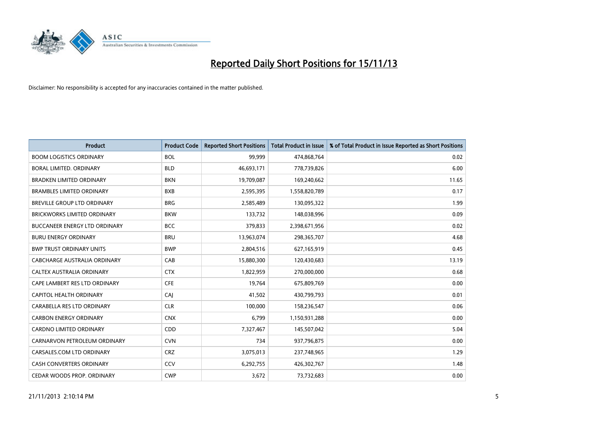

| <b>Product</b>                     | <b>Product Code</b> | <b>Reported Short Positions</b> | <b>Total Product in Issue</b> | % of Total Product in Issue Reported as Short Positions |
|------------------------------------|---------------------|---------------------------------|-------------------------------|---------------------------------------------------------|
| <b>BOOM LOGISTICS ORDINARY</b>     | <b>BOL</b>          | 99,999                          | 474,868,764                   | 0.02                                                    |
| <b>BORAL LIMITED, ORDINARY</b>     | <b>BLD</b>          | 46,693,171                      | 778,739,826                   | 6.00                                                    |
| <b>BRADKEN LIMITED ORDINARY</b>    | <b>BKN</b>          | 19,709,087                      | 169,240,662                   | 11.65                                                   |
| <b>BRAMBLES LIMITED ORDINARY</b>   | <b>BXB</b>          | 2,595,395                       | 1,558,820,789                 | 0.17                                                    |
| <b>BREVILLE GROUP LTD ORDINARY</b> | <b>BRG</b>          | 2,585,489                       | 130,095,322                   | 1.99                                                    |
| <b>BRICKWORKS LIMITED ORDINARY</b> | <b>BKW</b>          | 133,732                         | 148,038,996                   | 0.09                                                    |
| BUCCANEER ENERGY LTD ORDINARY      | <b>BCC</b>          | 379,833                         | 2,398,671,956                 | 0.02                                                    |
| <b>BURU ENERGY ORDINARY</b>        | <b>BRU</b>          | 13,963,074                      | 298,365,707                   | 4.68                                                    |
| <b>BWP TRUST ORDINARY UNITS</b>    | <b>BWP</b>          | 2,804,516                       | 627,165,919                   | 0.45                                                    |
| CABCHARGE AUSTRALIA ORDINARY       | CAB                 | 15,880,300                      | 120,430,683                   | 13.19                                                   |
| CALTEX AUSTRALIA ORDINARY          | <b>CTX</b>          | 1,822,959                       | 270,000,000                   | 0.68                                                    |
| CAPE LAMBERT RES LTD ORDINARY      | <b>CFE</b>          | 19,764                          | 675,809,769                   | 0.00                                                    |
| CAPITOL HEALTH ORDINARY            | <b>CAJ</b>          | 41,502                          | 430,799,793                   | 0.01                                                    |
| CARABELLA RES LTD ORDINARY         | <b>CLR</b>          | 100,000                         | 158,236,547                   | 0.06                                                    |
| <b>CARBON ENERGY ORDINARY</b>      | <b>CNX</b>          | 6,799                           | 1,150,931,288                 | 0.00                                                    |
| <b>CARDNO LIMITED ORDINARY</b>     | CDD                 | 7,327,467                       | 145,507,042                   | 5.04                                                    |
| CARNARVON PETROLEUM ORDINARY       | <b>CVN</b>          | 734                             | 937,796,875                   | 0.00                                                    |
| CARSALES.COM LTD ORDINARY          | <b>CRZ</b>          | 3,075,013                       | 237,748,965                   | 1.29                                                    |
| <b>CASH CONVERTERS ORDINARY</b>    | CCV                 | 6,292,755                       | 426,302,767                   | 1.48                                                    |
| CEDAR WOODS PROP. ORDINARY         | <b>CWP</b>          | 3,672                           | 73,732,683                    | 0.00                                                    |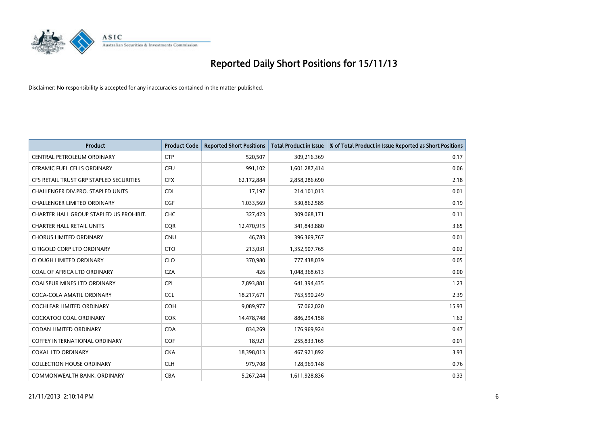

| <b>Product</b>                          | <b>Product Code</b> | <b>Reported Short Positions</b> | <b>Total Product in Issue</b> | % of Total Product in Issue Reported as Short Positions |
|-----------------------------------------|---------------------|---------------------------------|-------------------------------|---------------------------------------------------------|
| <b>CENTRAL PETROLEUM ORDINARY</b>       | <b>CTP</b>          | 520,507                         | 309,216,369                   | 0.17                                                    |
| CERAMIC FUEL CELLS ORDINARY             | <b>CFU</b>          | 991,102                         | 1,601,287,414                 | 0.06                                                    |
| CFS RETAIL TRUST GRP STAPLED SECURITIES | <b>CFX</b>          | 62,172,884                      | 2,858,286,690                 | 2.18                                                    |
| CHALLENGER DIV.PRO. STAPLED UNITS       | <b>CDI</b>          | 17,197                          | 214,101,013                   | 0.01                                                    |
| <b>CHALLENGER LIMITED ORDINARY</b>      | <b>CGF</b>          | 1,033,569                       | 530,862,585                   | 0.19                                                    |
| CHARTER HALL GROUP STAPLED US PROHIBIT. | <b>CHC</b>          | 327,423                         | 309,068,171                   | 0.11                                                    |
| <b>CHARTER HALL RETAIL UNITS</b>        | <b>CQR</b>          | 12,470,915                      | 341,843,880                   | 3.65                                                    |
| <b>CHORUS LIMITED ORDINARY</b>          | <b>CNU</b>          | 46,783                          | 396,369,767                   | 0.01                                                    |
| CITIGOLD CORP LTD ORDINARY              | <b>CTO</b>          | 213,031                         | 1,352,907,765                 | 0.02                                                    |
| <b>CLOUGH LIMITED ORDINARY</b>          | <b>CLO</b>          | 370,980                         | 777,438,039                   | 0.05                                                    |
| COAL OF AFRICA LTD ORDINARY             | <b>CZA</b>          | 426                             | 1,048,368,613                 | 0.00                                                    |
| COALSPUR MINES LTD ORDINARY             | <b>CPL</b>          | 7,893,881                       | 641,394,435                   | 1.23                                                    |
| COCA-COLA AMATIL ORDINARY               | <b>CCL</b>          | 18,217,671                      | 763,590,249                   | 2.39                                                    |
| <b>COCHLEAR LIMITED ORDINARY</b>        | <b>COH</b>          | 9,089,977                       | 57,062,020                    | 15.93                                                   |
| <b>COCKATOO COAL ORDINARY</b>           | COK                 | 14,478,748                      | 886,294,158                   | 1.63                                                    |
| <b>CODAN LIMITED ORDINARY</b>           | <b>CDA</b>          | 834,269                         | 176,969,924                   | 0.47                                                    |
| <b>COFFEY INTERNATIONAL ORDINARY</b>    | <b>COF</b>          | 18,921                          | 255,833,165                   | 0.01                                                    |
| <b>COKAL LTD ORDINARY</b>               | <b>CKA</b>          | 18,398,013                      | 467,921,892                   | 3.93                                                    |
| <b>COLLECTION HOUSE ORDINARY</b>        | <b>CLH</b>          | 979,708                         | 128,969,148                   | 0.76                                                    |
| COMMONWEALTH BANK, ORDINARY             | <b>CBA</b>          | 5,267,244                       | 1,611,928,836                 | 0.33                                                    |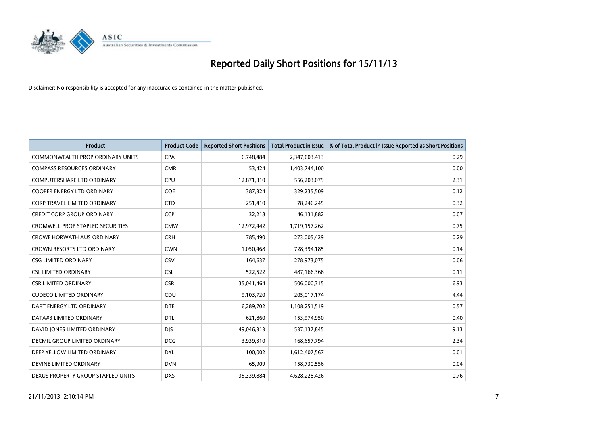

| Product                                 | <b>Product Code</b> | <b>Reported Short Positions</b> | Total Product in Issue | % of Total Product in Issue Reported as Short Positions |
|-----------------------------------------|---------------------|---------------------------------|------------------------|---------------------------------------------------------|
| COMMONWEALTH PROP ORDINARY UNITS        | <b>CPA</b>          | 6,748,484                       | 2,347,003,413          | 0.29                                                    |
| <b>COMPASS RESOURCES ORDINARY</b>       | <b>CMR</b>          | 53,424                          | 1,403,744,100          | 0.00                                                    |
| <b>COMPUTERSHARE LTD ORDINARY</b>       | <b>CPU</b>          | 12,871,310                      | 556,203,079            | 2.31                                                    |
| COOPER ENERGY LTD ORDINARY              | <b>COE</b>          | 387,324                         | 329,235,509            | 0.12                                                    |
| CORP TRAVEL LIMITED ORDINARY            | <b>CTD</b>          | 251,410                         | 78,246,245             | 0.32                                                    |
| <b>CREDIT CORP GROUP ORDINARY</b>       | <b>CCP</b>          | 32,218                          | 46,131,882             | 0.07                                                    |
| <b>CROMWELL PROP STAPLED SECURITIES</b> | <b>CMW</b>          | 12,972,442                      | 1,719,157,262          | 0.75                                                    |
| <b>CROWE HORWATH AUS ORDINARY</b>       | <b>CRH</b>          | 785,490                         | 273,005,429            | 0.29                                                    |
| CROWN RESORTS LTD ORDINARY              | <b>CWN</b>          | 1,050,468                       | 728,394,185            | 0.14                                                    |
| <b>CSG LIMITED ORDINARY</b>             | CSV                 | 164,637                         | 278,973,075            | 0.06                                                    |
| <b>CSL LIMITED ORDINARY</b>             | <b>CSL</b>          | 522,522                         | 487,166,366            | 0.11                                                    |
| <b>CSR LIMITED ORDINARY</b>             | <b>CSR</b>          | 35,041,464                      | 506,000,315            | 6.93                                                    |
| <b>CUDECO LIMITED ORDINARY</b>          | CDU                 | 9,103,720                       | 205,017,174            | 4.44                                                    |
| DART ENERGY LTD ORDINARY                | <b>DTE</b>          | 6,289,702                       | 1,108,251,519          | 0.57                                                    |
| DATA#3 LIMITED ORDINARY                 | <b>DTL</b>          | 621,860                         | 153,974,950            | 0.40                                                    |
| DAVID JONES LIMITED ORDINARY            | <b>DJS</b>          | 49,046,313                      | 537,137,845            | 9.13                                                    |
| <b>DECMIL GROUP LIMITED ORDINARY</b>    | <b>DCG</b>          | 3,939,310                       | 168,657,794            | 2.34                                                    |
| DEEP YELLOW LIMITED ORDINARY            | <b>DYL</b>          | 100,002                         | 1,612,407,567          | 0.01                                                    |
| DEVINE LIMITED ORDINARY                 | <b>DVN</b>          | 65,909                          | 158,730,556            | 0.04                                                    |
| DEXUS PROPERTY GROUP STAPLED UNITS      | <b>DXS</b>          | 35,339,884                      | 4,628,228,426          | 0.76                                                    |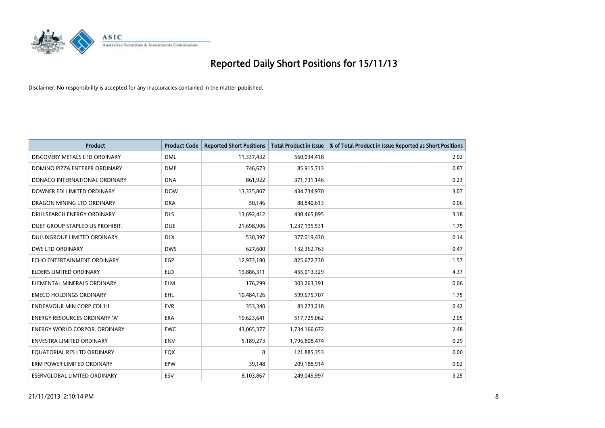

| <b>Product</b>                       | <b>Product Code</b> | <b>Reported Short Positions</b> | <b>Total Product in Issue</b> | % of Total Product in Issue Reported as Short Positions |
|--------------------------------------|---------------------|---------------------------------|-------------------------------|---------------------------------------------------------|
| DISCOVERY METALS LTD ORDINARY        | <b>DML</b>          | 11,337,432                      | 560,034,418                   | 2.02                                                    |
| DOMINO PIZZA ENTERPR ORDINARY        | <b>DMP</b>          | 746,673                         | 85,915,713                    | 0.87                                                    |
| DONACO INTERNATIONAL ORDINARY        | <b>DNA</b>          | 861,922                         | 371,731,146                   | 0.23                                                    |
| DOWNER EDI LIMITED ORDINARY          | <b>DOW</b>          | 13,335,807                      | 434,734,970                   | 3.07                                                    |
| DRAGON MINING LTD ORDINARY           | <b>DRA</b>          | 50,146                          | 88,840,613                    | 0.06                                                    |
| DRILLSEARCH ENERGY ORDINARY          | <b>DLS</b>          | 13,692,412                      | 430,465,895                   | 3.18                                                    |
| DUET GROUP STAPLED US PROHIBIT.      | <b>DUE</b>          | 21,698,906                      | 1,237,195,531                 | 1.75                                                    |
| DULUXGROUP LIMITED ORDINARY          | <b>DLX</b>          | 530,397                         | 377,019,430                   | 0.14                                                    |
| <b>DWS LTD ORDINARY</b>              | <b>DWS</b>          | 627,600                         | 132,362,763                   | 0.47                                                    |
| ECHO ENTERTAINMENT ORDINARY          | <b>EGP</b>          | 12,973,180                      | 825,672,730                   | 1.57                                                    |
| ELDERS LIMITED ORDINARY              | <b>ELD</b>          | 19,886,311                      | 455,013,329                   | 4.37                                                    |
| ELEMENTAL MINERALS ORDINARY          | <b>ELM</b>          | 176,299                         | 303,263,391                   | 0.06                                                    |
| <b>EMECO HOLDINGS ORDINARY</b>       | <b>EHL</b>          | 10,484,126                      | 599,675,707                   | 1.75                                                    |
| <b>ENDEAVOUR MIN CORP CDI 1:1</b>    | <b>EVR</b>          | 353,340                         | 83,273,218                    | 0.42                                                    |
| <b>ENERGY RESOURCES ORDINARY 'A'</b> | <b>ERA</b>          | 10,623,641                      | 517,725,062                   | 2.05                                                    |
| <b>ENERGY WORLD CORPOR. ORDINARY</b> | <b>EWC</b>          | 43,065,377                      | 1,734,166,672                 | 2.48                                                    |
| ENVESTRA LIMITED ORDINARY            | <b>ENV</b>          | 5,189,273                       | 1,796,808,474                 | 0.29                                                    |
| EQUATORIAL RES LTD ORDINARY          | EQX                 | 8                               | 121,885,353                   | 0.00                                                    |
| ERM POWER LIMITED ORDINARY           | EPW                 | 39,148                          | 209,188,914                   | 0.02                                                    |
| <b>ESERVGLOBAL LIMITED ORDINARY</b>  | ESV                 | 8,103,867                       | 249,045,997                   | 3.25                                                    |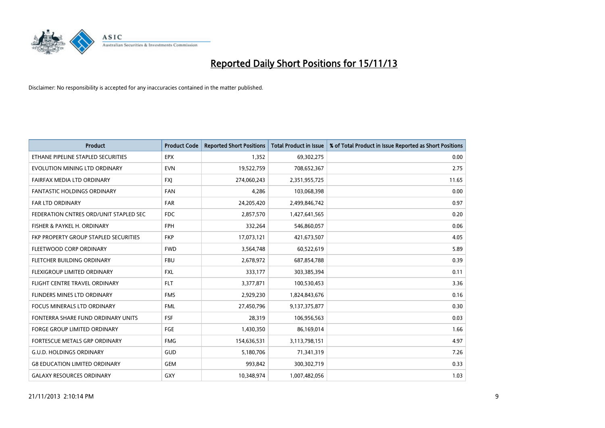

| <b>Product</b>                         | <b>Product Code</b> | <b>Reported Short Positions</b> | <b>Total Product in Issue</b> | % of Total Product in Issue Reported as Short Positions |
|----------------------------------------|---------------------|---------------------------------|-------------------------------|---------------------------------------------------------|
| ETHANE PIPELINE STAPLED SECURITIES     | <b>EPX</b>          | 1,352                           | 69,302,275                    | 0.00                                                    |
| EVOLUTION MINING LTD ORDINARY          | <b>EVN</b>          | 19,522,759                      | 708,652,367                   | 2.75                                                    |
| FAIRFAX MEDIA LTD ORDINARY             | <b>FXI</b>          | 274,060,243                     | 2,351,955,725                 | 11.65                                                   |
| FANTASTIC HOLDINGS ORDINARY            | <b>FAN</b>          | 4,286                           | 103,068,398                   | 0.00                                                    |
| FAR LTD ORDINARY                       | <b>FAR</b>          | 24,205,420                      | 2,499,846,742                 | 0.97                                                    |
| FEDERATION CNTRES ORD/UNIT STAPLED SEC | <b>FDC</b>          | 2,857,570                       | 1,427,641,565                 | 0.20                                                    |
| FISHER & PAYKEL H. ORDINARY            | <b>FPH</b>          | 332,264                         | 546,860,057                   | 0.06                                                    |
| FKP PROPERTY GROUP STAPLED SECURITIES  | <b>FKP</b>          | 17,073,121                      | 421,673,507                   | 4.05                                                    |
| FLEETWOOD CORP ORDINARY                | <b>FWD</b>          | 3,564,748                       | 60,522,619                    | 5.89                                                    |
| FLETCHER BUILDING ORDINARY             | <b>FBU</b>          | 2,678,972                       | 687,854,788                   | 0.39                                                    |
| FLEXIGROUP LIMITED ORDINARY            | <b>FXL</b>          | 333,177                         | 303,385,394                   | 0.11                                                    |
| FLIGHT CENTRE TRAVEL ORDINARY          | <b>FLT</b>          | 3,377,871                       | 100,530,453                   | 3.36                                                    |
| FLINDERS MINES LTD ORDINARY            | <b>FMS</b>          | 2,929,230                       | 1,824,843,676                 | 0.16                                                    |
| <b>FOCUS MINERALS LTD ORDINARY</b>     | <b>FML</b>          | 27,450,796                      | 9,137,375,877                 | 0.30                                                    |
| FONTERRA SHARE FUND ORDINARY UNITS     | <b>FSF</b>          | 28,319                          | 106,956,563                   | 0.03                                                    |
| <b>FORGE GROUP LIMITED ORDINARY</b>    | FGE                 | 1,430,350                       | 86,169,014                    | 1.66                                                    |
| FORTESCUE METALS GRP ORDINARY          | <b>FMG</b>          | 154,636,531                     | 3,113,798,151                 | 4.97                                                    |
| <b>G.U.D. HOLDINGS ORDINARY</b>        | <b>GUD</b>          | 5,180,706                       | 71,341,319                    | 7.26                                                    |
| <b>G8 EDUCATION LIMITED ORDINARY</b>   | <b>GEM</b>          | 993,842                         | 300,302,719                   | 0.33                                                    |
| <b>GALAXY RESOURCES ORDINARY</b>       | GXY                 | 10,348,974                      | 1,007,482,056                 | 1.03                                                    |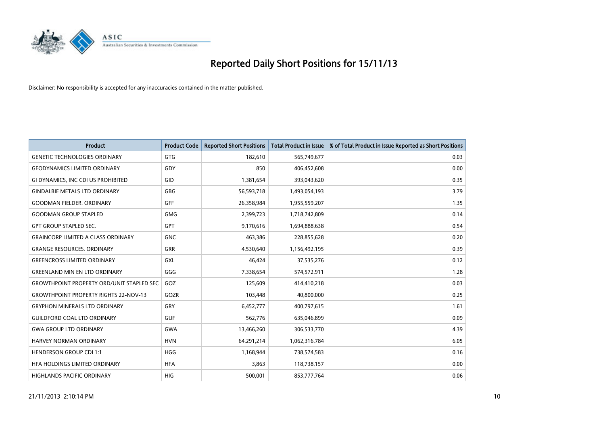

| <b>Product</b>                                   | <b>Product Code</b> | <b>Reported Short Positions</b> | <b>Total Product in Issue</b> | % of Total Product in Issue Reported as Short Positions |
|--------------------------------------------------|---------------------|---------------------------------|-------------------------------|---------------------------------------------------------|
| <b>GENETIC TECHNOLOGIES ORDINARY</b>             | <b>GTG</b>          | 182,610                         | 565,749,677                   | 0.03                                                    |
| <b>GEODYNAMICS LIMITED ORDINARY</b>              | GDY                 | 850                             | 406,452,608                   | 0.00                                                    |
| GI DYNAMICS, INC CDI US PROHIBITED               | GID                 | 1,381,654                       | 393,043,620                   | 0.35                                                    |
| <b>GINDALBIE METALS LTD ORDINARY</b>             | <b>GBG</b>          | 56,593,718                      | 1,493,054,193                 | 3.79                                                    |
| <b>GOODMAN FIELDER, ORDINARY</b>                 | GFF                 | 26,358,984                      | 1,955,559,207                 | 1.35                                                    |
| <b>GOODMAN GROUP STAPLED</b>                     | <b>GMG</b>          | 2,399,723                       | 1,718,742,809                 | 0.14                                                    |
| <b>GPT GROUP STAPLED SEC.</b>                    | <b>GPT</b>          | 9,170,616                       | 1,694,888,638                 | 0.54                                                    |
| <b>GRAINCORP LIMITED A CLASS ORDINARY</b>        | <b>GNC</b>          | 463,386                         | 228,855,628                   | 0.20                                                    |
| <b>GRANGE RESOURCES, ORDINARY</b>                | GRR                 | 4,530,640                       | 1,156,492,195                 | 0.39                                                    |
| <b>GREENCROSS LIMITED ORDINARY</b>               | GXL                 | 46,424                          | 37,535,276                    | 0.12                                                    |
| <b>GREENLAND MIN EN LTD ORDINARY</b>             | GGG                 | 7,338,654                       | 574,572,911                   | 1.28                                                    |
| <b>GROWTHPOINT PROPERTY ORD/UNIT STAPLED SEC</b> | GOZ                 | 125,609                         | 414,410,218                   | 0.03                                                    |
| <b>GROWTHPOINT PROPERTY RIGHTS 22-NOV-13</b>     | GOZR                | 103,448                         | 40,800,000                    | 0.25                                                    |
| <b>GRYPHON MINERALS LTD ORDINARY</b>             | GRY                 | 6,452,777                       | 400,797,615                   | 1.61                                                    |
| <b>GUILDFORD COAL LTD ORDINARY</b>               | <b>GUF</b>          | 562,776                         | 635,046,899                   | 0.09                                                    |
| <b>GWA GROUP LTD ORDINARY</b>                    | <b>GWA</b>          | 13,466,260                      | 306,533,770                   | 4.39                                                    |
| <b>HARVEY NORMAN ORDINARY</b>                    | <b>HVN</b>          | 64,291,214                      | 1,062,316,784                 | 6.05                                                    |
| <b>HENDERSON GROUP CDI 1:1</b>                   | <b>HGG</b>          | 1,168,944                       | 738,574,583                   | 0.16                                                    |
| HFA HOLDINGS LIMITED ORDINARY                    | <b>HFA</b>          | 3,863                           | 118,738,157                   | 0.00                                                    |
| <b>HIGHLANDS PACIFIC ORDINARY</b>                | <b>HIG</b>          | 500,001                         | 853,777,764                   | 0.06                                                    |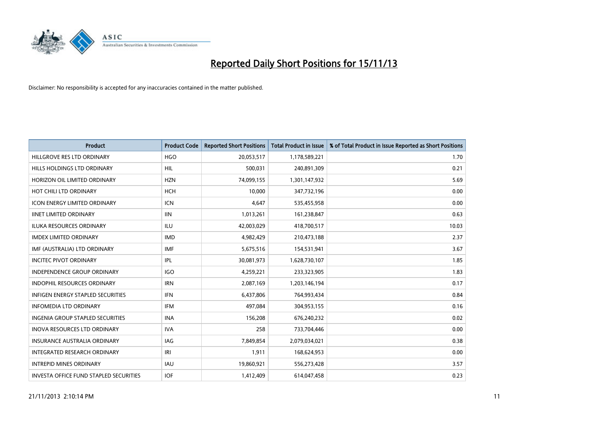

| <b>Product</b>                                | <b>Product Code</b> | <b>Reported Short Positions</b> | <b>Total Product in Issue</b> | % of Total Product in Issue Reported as Short Positions |
|-----------------------------------------------|---------------------|---------------------------------|-------------------------------|---------------------------------------------------------|
| HILLGROVE RES LTD ORDINARY                    | <b>HGO</b>          | 20,053,517                      | 1,178,589,221                 | 1.70                                                    |
| HILLS HOLDINGS LTD ORDINARY                   | HIL                 | 500,031                         | 240,891,309                   | 0.21                                                    |
| HORIZON OIL LIMITED ORDINARY                  | <b>HZN</b>          | 74,099,155                      | 1,301,147,932                 | 5.69                                                    |
| HOT CHILI LTD ORDINARY                        | <b>HCH</b>          | 10,000                          | 347,732,196                   | 0.00                                                    |
| <b>ICON ENERGY LIMITED ORDINARY</b>           | ICN                 | 4,647                           | 535,455,958                   | 0.00                                                    |
| <b>IINET LIMITED ORDINARY</b>                 | <b>IIN</b>          | 1,013,261                       | 161,238,847                   | 0.63                                                    |
| <b>ILUKA RESOURCES ORDINARY</b>               | <b>ILU</b>          | 42,003,029                      | 418,700,517                   | 10.03                                                   |
| <b>IMDEX LIMITED ORDINARY</b>                 | <b>IMD</b>          | 4,982,429                       | 210,473,188                   | 2.37                                                    |
| IMF (AUSTRALIA) LTD ORDINARY                  | <b>IMF</b>          | 5,675,516                       | 154,531,941                   | 3.67                                                    |
| <b>INCITEC PIVOT ORDINARY</b>                 | IPL                 | 30,081,973                      | 1,628,730,107                 | 1.85                                                    |
| INDEPENDENCE GROUP ORDINARY                   | <b>IGO</b>          | 4,259,221                       | 233,323,905                   | 1.83                                                    |
| <b>INDOPHIL RESOURCES ORDINARY</b>            | <b>IRN</b>          | 2,087,169                       | 1,203,146,194                 | 0.17                                                    |
| INFIGEN ENERGY STAPLED SECURITIES             | <b>IFN</b>          | 6,437,806                       | 764,993,434                   | 0.84                                                    |
| <b>INFOMEDIA LTD ORDINARY</b>                 | IFM                 | 497,084                         | 304,953,155                   | 0.16                                                    |
| <b>INGENIA GROUP STAPLED SECURITIES</b>       | <b>INA</b>          | 156,208                         | 676,240,232                   | 0.02                                                    |
| INOVA RESOURCES LTD ORDINARY                  | <b>IVA</b>          | 258                             | 733,704,446                   | 0.00                                                    |
| INSURANCE AUSTRALIA ORDINARY                  | IAG                 | 7,849,854                       | 2,079,034,021                 | 0.38                                                    |
| INTEGRATED RESEARCH ORDINARY                  | IRI                 | 1,911                           | 168,624,953                   | 0.00                                                    |
| <b>INTREPID MINES ORDINARY</b>                | <b>IAU</b>          | 19,860,921                      | 556,273,428                   | 3.57                                                    |
| <b>INVESTA OFFICE FUND STAPLED SECURITIES</b> | <b>IOF</b>          | 1,412,409                       | 614,047,458                   | 0.23                                                    |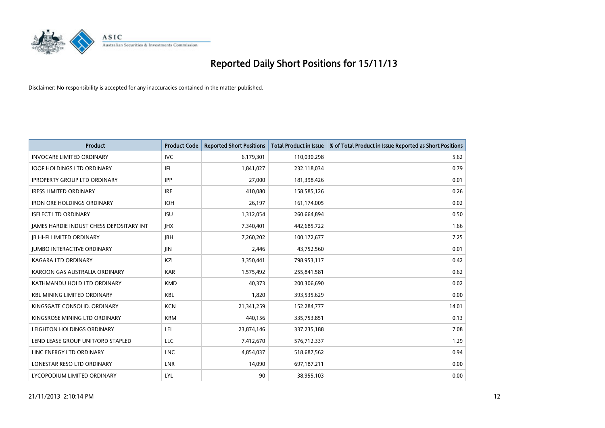

| <b>Product</b>                                  | <b>Product Code</b> | <b>Reported Short Positions</b> | <b>Total Product in Issue</b> | % of Total Product in Issue Reported as Short Positions |
|-------------------------------------------------|---------------------|---------------------------------|-------------------------------|---------------------------------------------------------|
| <b>INVOCARE LIMITED ORDINARY</b>                | <b>IVC</b>          | 6,179,301                       | 110,030,298                   | 5.62                                                    |
| <b>IOOF HOLDINGS LTD ORDINARY</b>               | IFL                 | 1,841,027                       | 232,118,034                   | 0.79                                                    |
| <b>IPROPERTY GROUP LTD ORDINARY</b>             | <b>IPP</b>          | 27,000                          | 181,398,426                   | 0.01                                                    |
| <b>IRESS LIMITED ORDINARY</b>                   | <b>IRE</b>          | 410,080                         | 158,585,126                   | 0.26                                                    |
| <b>IRON ORE HOLDINGS ORDINARY</b>               | <b>IOH</b>          | 26,197                          | 161,174,005                   | 0.02                                                    |
| <b>ISELECT LTD ORDINARY</b>                     | <b>ISU</b>          | 1,312,054                       | 260,664,894                   | 0.50                                                    |
| <b>JAMES HARDIE INDUST CHESS DEPOSITARY INT</b> | <b>IHX</b>          | 7,340,401                       | 442,685,722                   | 1.66                                                    |
| <b>JB HI-FI LIMITED ORDINARY</b>                | <b>IBH</b>          | 7,260,202                       | 100,172,677                   | 7.25                                                    |
| <b>JUMBO INTERACTIVE ORDINARY</b>               | <b>JIN</b>          | 2,446                           | 43,752,560                    | 0.01                                                    |
| <b>KAGARA LTD ORDINARY</b>                      | KZL                 | 3,350,441                       | 798,953,117                   | 0.42                                                    |
| KAROON GAS AUSTRALIA ORDINARY                   | <b>KAR</b>          | 1,575,492                       | 255,841,581                   | 0.62                                                    |
| KATHMANDU HOLD LTD ORDINARY                     | <b>KMD</b>          | 40,373                          | 200,306,690                   | 0.02                                                    |
| <b>KBL MINING LIMITED ORDINARY</b>              | <b>KBL</b>          | 1,820                           | 393,535,629                   | 0.00                                                    |
| KINGSGATE CONSOLID. ORDINARY                    | <b>KCN</b>          | 21,341,259                      | 152,284,777                   | 14.01                                                   |
| KINGSROSE MINING LTD ORDINARY                   | <b>KRM</b>          | 440,156                         | 335,753,851                   | 0.13                                                    |
| LEIGHTON HOLDINGS ORDINARY                      | LEI                 | 23,874,146                      | 337,235,188                   | 7.08                                                    |
| LEND LEASE GROUP UNIT/ORD STAPLED               | LLC                 | 7,412,670                       | 576,712,337                   | 1.29                                                    |
| LINC ENERGY LTD ORDINARY                        | <b>LNC</b>          | 4,854,037                       | 518,687,562                   | 0.94                                                    |
| LONESTAR RESO LTD ORDINARY                      | LNR                 | 14,090                          | 697,187,211                   | 0.00                                                    |
| LYCOPODIUM LIMITED ORDINARY                     | LYL                 | 90                              | 38,955,103                    | 0.00                                                    |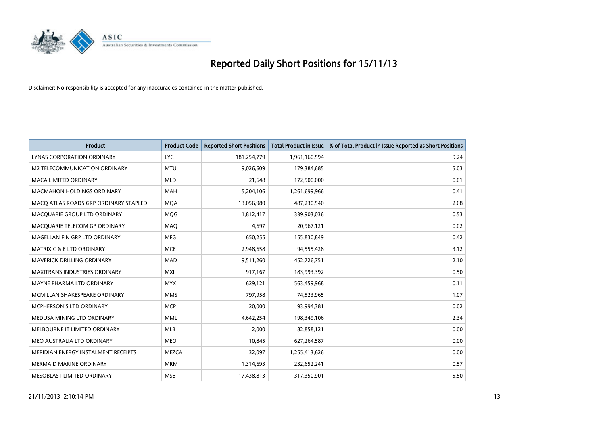

| <b>Product</b>                        | <b>Product Code</b> | <b>Reported Short Positions</b> | <b>Total Product in Issue</b> | % of Total Product in Issue Reported as Short Positions |
|---------------------------------------|---------------------|---------------------------------|-------------------------------|---------------------------------------------------------|
| LYNAS CORPORATION ORDINARY            | <b>LYC</b>          | 181,254,779                     | 1,961,160,594                 | 9.24                                                    |
| M2 TELECOMMUNICATION ORDINARY         | <b>MTU</b>          | 9,026,609                       | 179,384,685                   | 5.03                                                    |
| <b>MACA LIMITED ORDINARY</b>          | <b>MLD</b>          | 21,648                          | 172,500,000                   | 0.01                                                    |
| <b>MACMAHON HOLDINGS ORDINARY</b>     | <b>MAH</b>          | 5,204,106                       | 1,261,699,966                 | 0.41                                                    |
| MACO ATLAS ROADS GRP ORDINARY STAPLED | <b>MOA</b>          | 13,056,980                      | 487,230,540                   | 2.68                                                    |
| MACQUARIE GROUP LTD ORDINARY          | MQG                 | 1,812,417                       | 339,903,036                   | 0.53                                                    |
| MACQUARIE TELECOM GP ORDINARY         | MAQ                 | 4,697                           | 20,967,121                    | 0.02                                                    |
| MAGELLAN FIN GRP LTD ORDINARY         | <b>MFG</b>          | 650,255                         | 155,830,849                   | 0.42                                                    |
| <b>MATRIX C &amp; E LTD ORDINARY</b>  | <b>MCE</b>          | 2,948,658                       | 94,555,428                    | 3.12                                                    |
| MAVERICK DRILLING ORDINARY            | MAD                 | 9,511,260                       | 452,726,751                   | 2.10                                                    |
| MAXITRANS INDUSTRIES ORDINARY         | <b>MXI</b>          | 917,167                         | 183,993,392                   | 0.50                                                    |
| MAYNE PHARMA LTD ORDINARY             | <b>MYX</b>          | 629,121                         | 563,459,968                   | 0.11                                                    |
| MCMILLAN SHAKESPEARE ORDINARY         | <b>MMS</b>          | 797,958                         | 74,523,965                    | 1.07                                                    |
| <b>MCPHERSON'S LTD ORDINARY</b>       | <b>MCP</b>          | 20,000                          | 93,994,381                    | 0.02                                                    |
| MEDUSA MINING LTD ORDINARY            | <b>MML</b>          | 4,642,254                       | 198,349,106                   | 2.34                                                    |
| MELBOURNE IT LIMITED ORDINARY         | <b>MLB</b>          | 2,000                           | 82,858,121                    | 0.00                                                    |
| MEO AUSTRALIA LTD ORDINARY            | <b>MEO</b>          | 10,845                          | 627,264,587                   | 0.00                                                    |
| MERIDIAN ENERGY INSTALMENT RECEIPTS   | <b>MEZCA</b>        | 32,097                          | 1,255,413,626                 | 0.00                                                    |
| <b>MERMAID MARINE ORDINARY</b>        | <b>MRM</b>          | 1,314,693                       | 232,652,241                   | 0.57                                                    |
| MESOBLAST LIMITED ORDINARY            | <b>MSB</b>          | 17,438,813                      | 317,350,901                   | 5.50                                                    |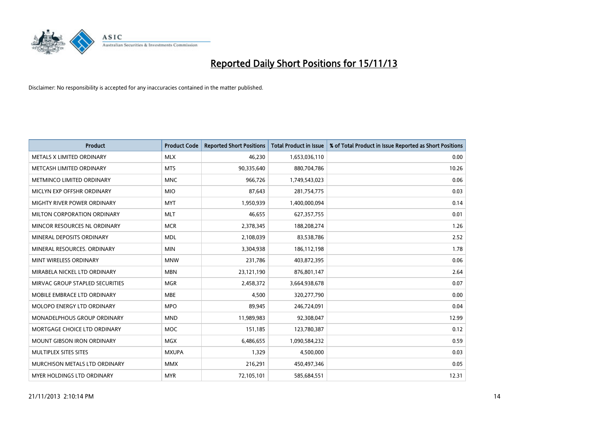

| <b>Product</b>                  | <b>Product Code</b> | <b>Reported Short Positions</b> | <b>Total Product in Issue</b> | % of Total Product in Issue Reported as Short Positions |
|---------------------------------|---------------------|---------------------------------|-------------------------------|---------------------------------------------------------|
| METALS X LIMITED ORDINARY       | <b>MLX</b>          | 46,230                          | 1,653,036,110                 | 0.00                                                    |
| METCASH LIMITED ORDINARY        | <b>MTS</b>          | 90,335,640                      | 880,704,786                   | 10.26                                                   |
| METMINCO LIMITED ORDINARY       | <b>MNC</b>          | 966,726                         | 1,749,543,023                 | 0.06                                                    |
| MICLYN EXP OFFSHR ORDINARY      | <b>MIO</b>          | 87,643                          | 281,754,775                   | 0.03                                                    |
| MIGHTY RIVER POWER ORDINARY     | <b>MYT</b>          | 1,950,939                       | 1,400,000,094                 | 0.14                                                    |
| MILTON CORPORATION ORDINARY     | <b>MLT</b>          | 46,655                          | 627,357,755                   | 0.01                                                    |
| MINCOR RESOURCES NL ORDINARY    | <b>MCR</b>          | 2,378,345                       | 188,208,274                   | 1.26                                                    |
| MINERAL DEPOSITS ORDINARY       | <b>MDL</b>          | 2,108,039                       | 83,538,786                    | 2.52                                                    |
| MINERAL RESOURCES, ORDINARY     | <b>MIN</b>          | 3,304,938                       | 186,112,198                   | 1.78                                                    |
| MINT WIRELESS ORDINARY          | <b>MNW</b>          | 231,786                         | 403,872,395                   | 0.06                                                    |
| MIRABELA NICKEL LTD ORDINARY    | <b>MBN</b>          | 23,121,190                      | 876,801,147                   | 2.64                                                    |
| MIRVAC GROUP STAPLED SECURITIES | <b>MGR</b>          | 2,458,372                       | 3,664,938,678                 | 0.07                                                    |
| MOBILE EMBRACE LTD ORDINARY     | <b>MBE</b>          | 4,500                           | 320,277,790                   | 0.00                                                    |
| MOLOPO ENERGY LTD ORDINARY      | <b>MPO</b>          | 89,945                          | 246,724,091                   | 0.04                                                    |
| MONADELPHOUS GROUP ORDINARY     | <b>MND</b>          | 11,989,983                      | 92,308,047                    | 12.99                                                   |
| MORTGAGE CHOICE LTD ORDINARY    | MOC                 | 151,185                         | 123,780,387                   | 0.12                                                    |
| MOUNT GIBSON IRON ORDINARY      | <b>MGX</b>          | 6,486,655                       | 1,090,584,232                 | 0.59                                                    |
| MULTIPLEX SITES SITES           | <b>MXUPA</b>        | 1,329                           | 4,500,000                     | 0.03                                                    |
| MURCHISON METALS LTD ORDINARY   | <b>MMX</b>          | 216,291                         | 450,497,346                   | 0.05                                                    |
| MYER HOLDINGS LTD ORDINARY      | <b>MYR</b>          | 72,105,101                      | 585,684,551                   | 12.31                                                   |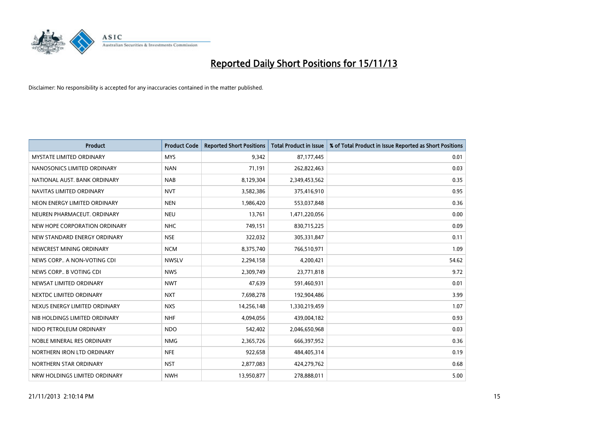

| <b>Product</b>                  | <b>Product Code</b> | <b>Reported Short Positions</b> | <b>Total Product in Issue</b> | % of Total Product in Issue Reported as Short Positions |
|---------------------------------|---------------------|---------------------------------|-------------------------------|---------------------------------------------------------|
| <b>MYSTATE LIMITED ORDINARY</b> | <b>MYS</b>          | 9,342                           | 87,177,445                    | 0.01                                                    |
| NANOSONICS LIMITED ORDINARY     | <b>NAN</b>          | 71,191                          | 262,822,463                   | 0.03                                                    |
| NATIONAL AUST. BANK ORDINARY    | <b>NAB</b>          | 8,129,304                       | 2,349,453,562                 | 0.35                                                    |
| NAVITAS LIMITED ORDINARY        | <b>NVT</b>          | 3,582,386                       | 375,416,910                   | 0.95                                                    |
| NEON ENERGY LIMITED ORDINARY    | <b>NEN</b>          | 1,986,420                       | 553,037,848                   | 0.36                                                    |
| NEUREN PHARMACEUT, ORDINARY     | <b>NEU</b>          | 13,761                          | 1,471,220,056                 | 0.00                                                    |
| NEW HOPE CORPORATION ORDINARY   | <b>NHC</b>          | 749,151                         | 830,715,225                   | 0.09                                                    |
| NEW STANDARD ENERGY ORDINARY    | <b>NSE</b>          | 322,032                         | 305,331,847                   | 0.11                                                    |
| NEWCREST MINING ORDINARY        | <b>NCM</b>          | 8,375,740                       | 766,510,971                   | 1.09                                                    |
| NEWS CORP A NON-VOTING CDI      | <b>NWSLV</b>        | 2,294,158                       | 4,200,421                     | 54.62                                                   |
| NEWS CORP B VOTING CDI          | <b>NWS</b>          | 2,309,749                       | 23,771,818                    | 9.72                                                    |
| NEWSAT LIMITED ORDINARY         | <b>NWT</b>          | 47,639                          | 591,460,931                   | 0.01                                                    |
| NEXTDC LIMITED ORDINARY         | <b>NXT</b>          | 7,698,278                       | 192,904,486                   | 3.99                                                    |
| NEXUS ENERGY LIMITED ORDINARY   | <b>NXS</b>          | 14,256,148                      | 1,330,219,459                 | 1.07                                                    |
| NIB HOLDINGS LIMITED ORDINARY   | <b>NHF</b>          | 4,094,056                       | 439,004,182                   | 0.93                                                    |
| NIDO PETROLEUM ORDINARY         | <b>NDO</b>          | 542,402                         | 2,046,650,968                 | 0.03                                                    |
| NOBLE MINERAL RES ORDINARY      | <b>NMG</b>          | 2,365,726                       | 666,397,952                   | 0.36                                                    |
| NORTHERN IRON LTD ORDINARY      | <b>NFE</b>          | 922,658                         | 484,405,314                   | 0.19                                                    |
| NORTHERN STAR ORDINARY          | <b>NST</b>          | 2,877,083                       | 424,279,762                   | 0.68                                                    |
| NRW HOLDINGS LIMITED ORDINARY   | <b>NWH</b>          | 13,950,877                      | 278,888,011                   | 5.00                                                    |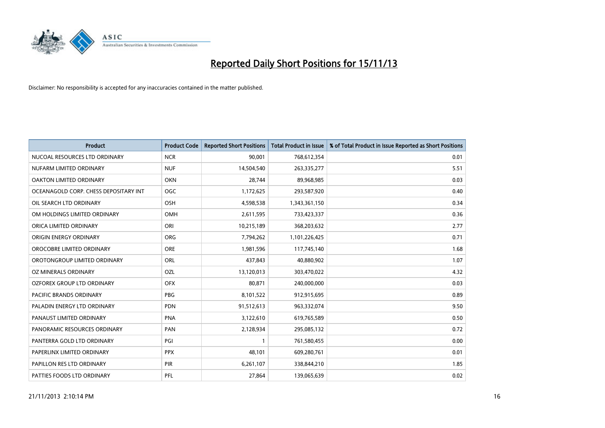

| <b>Product</b>                        | <b>Product Code</b> | <b>Reported Short Positions</b> | <b>Total Product in Issue</b> | % of Total Product in Issue Reported as Short Positions |
|---------------------------------------|---------------------|---------------------------------|-------------------------------|---------------------------------------------------------|
| NUCOAL RESOURCES LTD ORDINARY         | <b>NCR</b>          | 90,001                          | 768,612,354                   | 0.01                                                    |
| NUFARM LIMITED ORDINARY               | <b>NUF</b>          | 14,504,540                      | 263,335,277                   | 5.51                                                    |
| OAKTON LIMITED ORDINARY               | <b>OKN</b>          | 28,744                          | 89,968,985                    | 0.03                                                    |
| OCEANAGOLD CORP. CHESS DEPOSITARY INT | <b>OGC</b>          | 1,172,625                       | 293,587,920                   | 0.40                                                    |
| OIL SEARCH LTD ORDINARY               | OSH                 | 4,598,538                       | 1,343,361,150                 | 0.34                                                    |
| OM HOLDINGS LIMITED ORDINARY          | <b>OMH</b>          | 2,611,595                       | 733,423,337                   | 0.36                                                    |
| ORICA LIMITED ORDINARY                | ORI                 | 10,215,189                      | 368,203,632                   | 2.77                                                    |
| ORIGIN ENERGY ORDINARY                | ORG                 | 7,794,262                       | 1,101,226,425                 | 0.71                                                    |
| OROCOBRE LIMITED ORDINARY             | ORE                 | 1,981,596                       | 117,745,140                   | 1.68                                                    |
| OROTONGROUP LIMITED ORDINARY          | ORL                 | 437,843                         | 40,880,902                    | 1.07                                                    |
| OZ MINERALS ORDINARY                  | OZL                 | 13,120,013                      | 303,470,022                   | 4.32                                                    |
| OZFOREX GROUP LTD ORDINARY            | <b>OFX</b>          | 80,871                          | 240,000,000                   | 0.03                                                    |
| PACIFIC BRANDS ORDINARY               | <b>PBG</b>          | 8,101,522                       | 912,915,695                   | 0.89                                                    |
| PALADIN ENERGY LTD ORDINARY           | <b>PDN</b>          | 91,512,613                      | 963,332,074                   | 9.50                                                    |
| PANAUST LIMITED ORDINARY              | <b>PNA</b>          | 3,122,610                       | 619,765,589                   | 0.50                                                    |
| PANORAMIC RESOURCES ORDINARY          | PAN                 | 2,128,934                       | 295,085,132                   | 0.72                                                    |
| PANTERRA GOLD LTD ORDINARY            | PGI                 | $\mathbf{1}$                    | 761,580,455                   | 0.00                                                    |
| PAPERLINX LIMITED ORDINARY            | <b>PPX</b>          | 48,101                          | 609,280,761                   | 0.01                                                    |
| PAPILLON RES LTD ORDINARY             | PIR                 | 6,261,107                       | 338,844,210                   | 1.85                                                    |
| PATTIES FOODS LTD ORDINARY            | PFL                 | 27,864                          | 139,065,639                   | 0.02                                                    |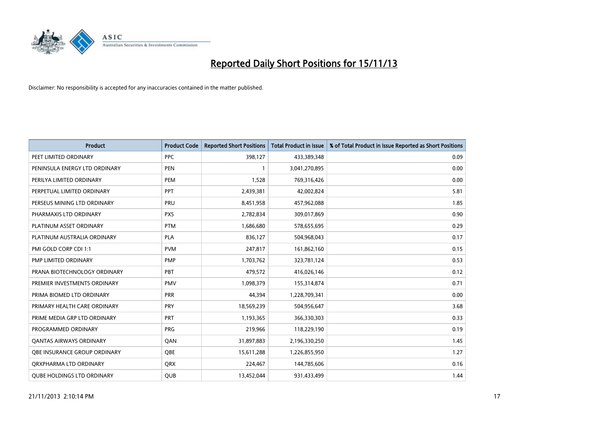

| <b>Product</b>                      | <b>Product Code</b> | <b>Reported Short Positions</b> | <b>Total Product in Issue</b> | % of Total Product in Issue Reported as Short Positions |
|-------------------------------------|---------------------|---------------------------------|-------------------------------|---------------------------------------------------------|
| PEET LIMITED ORDINARY               | <b>PPC</b>          | 398,127                         | 433,389,348                   | 0.09                                                    |
| PENINSULA ENERGY LTD ORDINARY       | <b>PEN</b>          | $\mathbf{1}$                    | 3,041,270,895                 | 0.00                                                    |
| PERILYA LIMITED ORDINARY            | <b>PEM</b>          | 1,528                           | 769,316,426                   | 0.00                                                    |
| PERPETUAL LIMITED ORDINARY          | PPT                 | 2,439,381                       | 42,002,824                    | 5.81                                                    |
| PERSEUS MINING LTD ORDINARY         | PRU                 | 8,451,958                       | 457,962,088                   | 1.85                                                    |
| PHARMAXIS LTD ORDINARY              | <b>PXS</b>          | 2,782,834                       | 309,017,869                   | 0.90                                                    |
| PLATINUM ASSET ORDINARY             | <b>PTM</b>          | 1,686,680                       | 578,655,695                   | 0.29                                                    |
| PLATINUM AUSTRALIA ORDINARY         | <b>PLA</b>          | 836,127                         | 504,968,043                   | 0.17                                                    |
| PMI GOLD CORP CDI 1:1               | <b>PVM</b>          | 247,817                         | 161,862,160                   | 0.15                                                    |
| <b>PMP LIMITED ORDINARY</b>         | <b>PMP</b>          | 1,703,762                       | 323,781,124                   | 0.53                                                    |
| PRANA BIOTECHNOLOGY ORDINARY        | PBT                 | 479,572                         | 416,026,146                   | 0.12                                                    |
| PREMIER INVESTMENTS ORDINARY        | <b>PMV</b>          | 1,098,379                       | 155,314,874                   | 0.71                                                    |
| PRIMA BIOMED LTD ORDINARY           | <b>PRR</b>          | 44,394                          | 1,228,709,341                 | 0.00                                                    |
| PRIMARY HEALTH CARE ORDINARY        | <b>PRY</b>          | 18,569,239                      | 504,956,647                   | 3.68                                                    |
| PRIME MEDIA GRP LTD ORDINARY        | <b>PRT</b>          | 1,193,365                       | 366,330,303                   | 0.33                                                    |
| PROGRAMMED ORDINARY                 | <b>PRG</b>          | 219,966                         | 118,229,190                   | 0.19                                                    |
| <b>QANTAS AIRWAYS ORDINARY</b>      | QAN                 | 31,897,883                      | 2,196,330,250                 | 1.45                                                    |
| <b>OBE INSURANCE GROUP ORDINARY</b> | <b>OBE</b>          | 15,611,288                      | 1,226,855,950                 | 1.27                                                    |
| ORXPHARMA LTD ORDINARY              | <b>QRX</b>          | 224,467                         | 144,785,606                   | 0.16                                                    |
| <b>QUBE HOLDINGS LTD ORDINARY</b>   | <b>QUB</b>          | 13,452,044                      | 931,433,499                   | 1.44                                                    |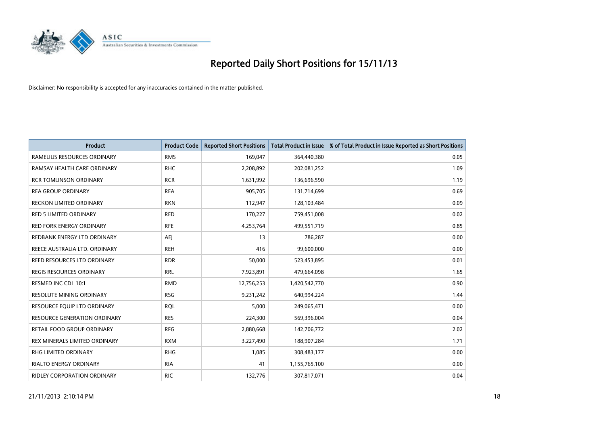

| <b>Product</b>                      | <b>Product Code</b> | <b>Reported Short Positions</b> | <b>Total Product in Issue</b> | % of Total Product in Issue Reported as Short Positions |
|-------------------------------------|---------------------|---------------------------------|-------------------------------|---------------------------------------------------------|
| RAMELIUS RESOURCES ORDINARY         | <b>RMS</b>          | 169,047                         | 364,440,380                   | 0.05                                                    |
| RAMSAY HEALTH CARE ORDINARY         | <b>RHC</b>          | 2,208,892                       | 202,081,252                   | 1.09                                                    |
| <b>RCR TOMLINSON ORDINARY</b>       | <b>RCR</b>          | 1,631,992                       | 136,696,590                   | 1.19                                                    |
| <b>REA GROUP ORDINARY</b>           | <b>REA</b>          | 905,705                         | 131,714,699                   | 0.69                                                    |
| <b>RECKON LIMITED ORDINARY</b>      | <b>RKN</b>          | 112,947                         | 128,103,484                   | 0.09                                                    |
| <b>RED 5 LIMITED ORDINARY</b>       | <b>RED</b>          | 170,227                         | 759,451,008                   | 0.02                                                    |
| <b>RED FORK ENERGY ORDINARY</b>     | <b>RFE</b>          | 4,253,764                       | 499,551,719                   | 0.85                                                    |
| REDBANK ENERGY LTD ORDINARY         | <b>AEJ</b>          | 13                              | 786,287                       | 0.00                                                    |
| REECE AUSTRALIA LTD. ORDINARY       | <b>REH</b>          | 416                             | 99,600,000                    | 0.00                                                    |
| <b>REED RESOURCES LTD ORDINARY</b>  | <b>RDR</b>          | 50,000                          | 523,453,895                   | 0.01                                                    |
| <b>REGIS RESOURCES ORDINARY</b>     | <b>RRL</b>          | 7,923,891                       | 479,664,098                   | 1.65                                                    |
| RESMED INC CDI 10:1                 | <b>RMD</b>          | 12,756,253                      | 1,420,542,770                 | 0.90                                                    |
| RESOLUTE MINING ORDINARY            | <b>RSG</b>          | 9,231,242                       | 640,994,224                   | 1.44                                                    |
| RESOURCE EQUIP LTD ORDINARY         | <b>RQL</b>          | 5,000                           | 249,065,471                   | 0.00                                                    |
| <b>RESOURCE GENERATION ORDINARY</b> | <b>RES</b>          | 224,300                         | 569,396,004                   | 0.04                                                    |
| RETAIL FOOD GROUP ORDINARY          | <b>RFG</b>          | 2,880,668                       | 142,706,772                   | 2.02                                                    |
| REX MINERALS LIMITED ORDINARY       | <b>RXM</b>          | 3,227,490                       | 188,907,284                   | 1.71                                                    |
| RHG LIMITED ORDINARY                | <b>RHG</b>          | 1,085                           | 308,483,177                   | 0.00                                                    |
| <b>RIALTO ENERGY ORDINARY</b>       | <b>RIA</b>          | 41                              | 1,155,765,100                 | 0.00                                                    |
| RIDLEY CORPORATION ORDINARY         | <b>RIC</b>          | 132,776                         | 307,817,071                   | 0.04                                                    |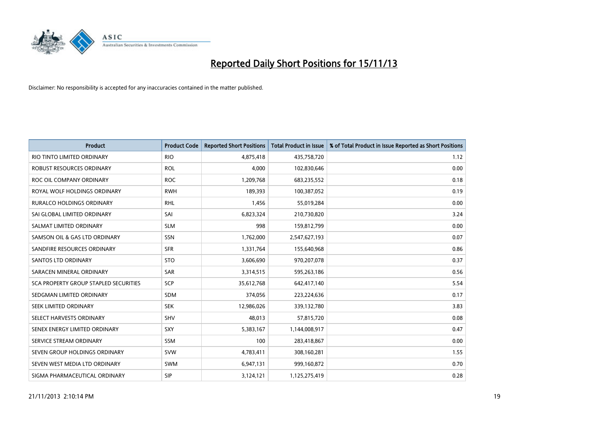

| <b>Product</b>                               | <b>Product Code</b> | <b>Reported Short Positions</b> | <b>Total Product in Issue</b> | % of Total Product in Issue Reported as Short Positions |
|----------------------------------------------|---------------------|---------------------------------|-------------------------------|---------------------------------------------------------|
| RIO TINTO LIMITED ORDINARY                   | <b>RIO</b>          | 4,875,418                       | 435,758,720                   | 1.12                                                    |
| ROBUST RESOURCES ORDINARY                    | <b>ROL</b>          | 4,000                           | 102,830,646                   | 0.00                                                    |
| ROC OIL COMPANY ORDINARY                     | <b>ROC</b>          | 1,209,768                       | 683,235,552                   | 0.18                                                    |
| ROYAL WOLF HOLDINGS ORDINARY                 | <b>RWH</b>          | 189,393                         | 100,387,052                   | 0.19                                                    |
| <b>RURALCO HOLDINGS ORDINARY</b>             | <b>RHL</b>          | 1,456                           | 55,019,284                    | 0.00                                                    |
| SAI GLOBAL LIMITED ORDINARY                  | SAI                 | 6,823,324                       | 210,730,820                   | 3.24                                                    |
| SALMAT LIMITED ORDINARY                      | <b>SLM</b>          | 998                             | 159,812,799                   | 0.00                                                    |
| SAMSON OIL & GAS LTD ORDINARY                | SSN                 | 1,762,000                       | 2,547,627,193                 | 0.07                                                    |
| SANDFIRE RESOURCES ORDINARY                  | <b>SFR</b>          | 1,331,764                       | 155,640,968                   | 0.86                                                    |
| SANTOS LTD ORDINARY                          | <b>STO</b>          | 3,606,690                       | 970,207,078                   | 0.37                                                    |
| SARACEN MINERAL ORDINARY                     | <b>SAR</b>          | 3,314,515                       | 595,263,186                   | 0.56                                                    |
| <b>SCA PROPERTY GROUP STAPLED SECURITIES</b> | SCP                 | 35,612,768                      | 642,417,140                   | 5.54                                                    |
| SEDGMAN LIMITED ORDINARY                     | <b>SDM</b>          | 374,056                         | 223,224,636                   | 0.17                                                    |
| SEEK LIMITED ORDINARY                        | <b>SEK</b>          | 12,986,026                      | 339,132,780                   | 3.83                                                    |
| SELECT HARVESTS ORDINARY                     | SHV                 | 48,013                          | 57,815,720                    | 0.08                                                    |
| SENEX ENERGY LIMITED ORDINARY                | SXY                 | 5,383,167                       | 1,144,008,917                 | 0.47                                                    |
| SERVICE STREAM ORDINARY                      | SSM                 | 100                             | 283,418,867                   | 0.00                                                    |
| SEVEN GROUP HOLDINGS ORDINARY                | <b>SVW</b>          | 4,783,411                       | 308,160,281                   | 1.55                                                    |
| SEVEN WEST MEDIA LTD ORDINARY                | <b>SWM</b>          | 6,947,131                       | 999,160,872                   | 0.70                                                    |
| SIGMA PHARMACEUTICAL ORDINARY                | <b>SIP</b>          | 3,124,121                       | 1,125,275,419                 | 0.28                                                    |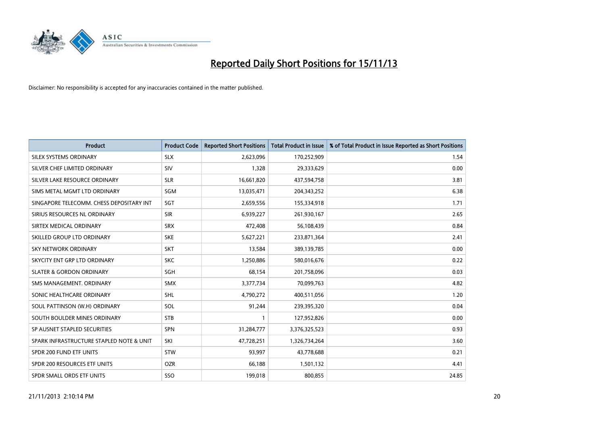

| <b>Product</b>                           | <b>Product Code</b> | <b>Reported Short Positions</b> | <b>Total Product in Issue</b> | % of Total Product in Issue Reported as Short Positions |
|------------------------------------------|---------------------|---------------------------------|-------------------------------|---------------------------------------------------------|
| SILEX SYSTEMS ORDINARY                   | <b>SLX</b>          | 2,623,096                       | 170,252,909                   | 1.54                                                    |
| SILVER CHEF LIMITED ORDINARY             | <b>SIV</b>          | 1,328                           | 29,333,629                    | 0.00                                                    |
| SILVER LAKE RESOURCE ORDINARY            | <b>SLR</b>          | 16,661,820                      | 437,594,758                   | 3.81                                                    |
| SIMS METAL MGMT LTD ORDINARY             | <b>SGM</b>          | 13,035,471                      | 204,343,252                   | 6.38                                                    |
| SINGAPORE TELECOMM. CHESS DEPOSITARY INT | SGT                 | 2,659,556                       | 155,334,918                   | 1.71                                                    |
| SIRIUS RESOURCES NL ORDINARY             | <b>SIR</b>          | 6,939,227                       | 261,930,167                   | 2.65                                                    |
| SIRTEX MEDICAL ORDINARY                  | <b>SRX</b>          | 472,408                         | 56,108,439                    | 0.84                                                    |
| SKILLED GROUP LTD ORDINARY               | <b>SKE</b>          | 5,627,221                       | 233,871,364                   | 2.41                                                    |
| <b>SKY NETWORK ORDINARY</b>              | <b>SKT</b>          | 13,584                          | 389,139,785                   | 0.00                                                    |
| SKYCITY ENT GRP LTD ORDINARY             | <b>SKC</b>          | 1,250,886                       | 580,016,676                   | 0.22                                                    |
| <b>SLATER &amp; GORDON ORDINARY</b>      | SGH                 | 68,154                          | 201,758,096                   | 0.03                                                    |
| SMS MANAGEMENT. ORDINARY                 | <b>SMX</b>          | 3,377,734                       | 70,099,763                    | 4.82                                                    |
| SONIC HEALTHCARE ORDINARY                | SHL                 | 4,790,272                       | 400,511,056                   | 1.20                                                    |
| SOUL PATTINSON (W.H) ORDINARY            | SOL                 | 91,244                          | 239,395,320                   | 0.04                                                    |
| SOUTH BOULDER MINES ORDINARY             | <b>STB</b>          | 1                               | 127,952,826                   | 0.00                                                    |
| SP AUSNET STAPLED SECURITIES             | <b>SPN</b>          | 31,284,777                      | 3,376,325,523                 | 0.93                                                    |
| SPARK INFRASTRUCTURE STAPLED NOTE & UNIT | SKI                 | 47,728,251                      | 1,326,734,264                 | 3.60                                                    |
| SPDR 200 FUND ETF UNITS                  | <b>STW</b>          | 93,997                          | 43,778,688                    | 0.21                                                    |
| SPDR 200 RESOURCES ETF UNITS             | <b>OZR</b>          | 66,188                          | 1,501,132                     | 4.41                                                    |
| SPDR SMALL ORDS ETF UNITS                | SSO                 | 199,018                         | 800,855                       | 24.85                                                   |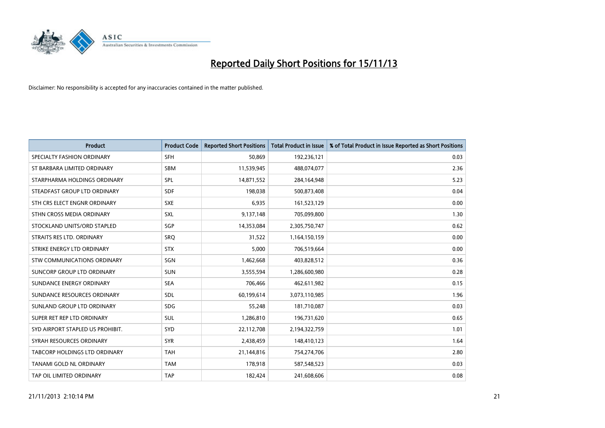

| <b>Product</b>                   | <b>Product Code</b> | <b>Reported Short Positions</b> | <b>Total Product in Issue</b> | % of Total Product in Issue Reported as Short Positions |
|----------------------------------|---------------------|---------------------------------|-------------------------------|---------------------------------------------------------|
| SPECIALTY FASHION ORDINARY       | <b>SFH</b>          | 50,869                          | 192,236,121                   | 0.03                                                    |
| ST BARBARA LIMITED ORDINARY      | <b>SBM</b>          | 11,539,945                      | 488,074,077                   | 2.36                                                    |
| STARPHARMA HOLDINGS ORDINARY     | SPL                 | 14,871,552                      | 284,164,948                   | 5.23                                                    |
| STEADFAST GROUP LTD ORDINARY     | <b>SDF</b>          | 198,038                         | 500,873,408                   | 0.04                                                    |
| STH CRS ELECT ENGNR ORDINARY     | <b>SXE</b>          | 6,935                           | 161,523,129                   | 0.00                                                    |
| STHN CROSS MEDIA ORDINARY        | SXL                 | 9,137,148                       | 705,099,800                   | 1.30                                                    |
| STOCKLAND UNITS/ORD STAPLED      | SGP                 | 14,353,084                      | 2,305,750,747                 | 0.62                                                    |
| STRAITS RES LTD. ORDINARY        | <b>SRQ</b>          | 31,522                          | 1,164,150,159                 | 0.00                                                    |
| STRIKE ENERGY LTD ORDINARY       | <b>STX</b>          | 5,000                           | 706,519,664                   | 0.00                                                    |
| STW COMMUNICATIONS ORDINARY      | SGN                 | 1,462,668                       | 403,828,512                   | 0.36                                                    |
| SUNCORP GROUP LTD ORDINARY       | <b>SUN</b>          | 3,555,594                       | 1,286,600,980                 | 0.28                                                    |
| SUNDANCE ENERGY ORDINARY         | <b>SEA</b>          | 706,466                         | 462,611,982                   | 0.15                                                    |
| SUNDANCE RESOURCES ORDINARY      | SDL                 | 60,199,614                      | 3,073,110,985                 | 1.96                                                    |
| SUNLAND GROUP LTD ORDINARY       | <b>SDG</b>          | 55,248                          | 181,710,087                   | 0.03                                                    |
| SUPER RET REP LTD ORDINARY       | SUL                 | 1,286,810                       | 196,731,620                   | 0.65                                                    |
| SYD AIRPORT STAPLED US PROHIBIT. | <b>SYD</b>          | 22,112,708                      | 2,194,322,759                 | 1.01                                                    |
| SYRAH RESOURCES ORDINARY         | <b>SYR</b>          | 2,438,459                       | 148,410,123                   | 1.64                                                    |
| TABCORP HOLDINGS LTD ORDINARY    | <b>TAH</b>          | 21,144,816                      | 754,274,706                   | 2.80                                                    |
| TANAMI GOLD NL ORDINARY          | <b>TAM</b>          | 178,918                         | 587,548,523                   | 0.03                                                    |
| TAP OIL LIMITED ORDINARY         | <b>TAP</b>          | 182,424                         | 241,608,606                   | 0.08                                                    |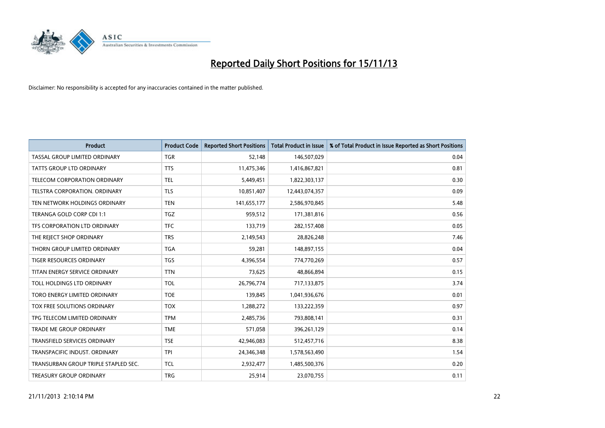

| <b>Product</b>                       | <b>Product Code</b> | <b>Reported Short Positions</b> | <b>Total Product in Issue</b> | % of Total Product in Issue Reported as Short Positions |
|--------------------------------------|---------------------|---------------------------------|-------------------------------|---------------------------------------------------------|
| TASSAL GROUP LIMITED ORDINARY        | <b>TGR</b>          | 52,148                          | 146,507,029                   | 0.04                                                    |
| TATTS GROUP LTD ORDINARY             | <b>TTS</b>          | 11,475,346                      | 1,416,867,821                 | 0.81                                                    |
| TELECOM CORPORATION ORDINARY         | <b>TEL</b>          | 5,449,451                       | 1,822,303,137                 | 0.30                                                    |
| TELSTRA CORPORATION, ORDINARY        | <b>TLS</b>          | 10,851,407                      | 12,443,074,357                | 0.09                                                    |
| TEN NETWORK HOLDINGS ORDINARY        | <b>TEN</b>          | 141,655,177                     | 2,586,970,845                 | 5.48                                                    |
| TERANGA GOLD CORP CDI 1:1            | <b>TGZ</b>          | 959,512                         | 171,381,816                   | 0.56                                                    |
| TFS CORPORATION LTD ORDINARY         | <b>TFC</b>          | 133,719                         | 282,157,408                   | 0.05                                                    |
| THE REJECT SHOP ORDINARY             | <b>TRS</b>          | 2,149,543                       | 28,826,248                    | 7.46                                                    |
| THORN GROUP LIMITED ORDINARY         | <b>TGA</b>          | 59,281                          | 148,897,155                   | 0.04                                                    |
| TIGER RESOURCES ORDINARY             | <b>TGS</b>          | 4,396,554                       | 774,770,269                   | 0.57                                                    |
| TITAN ENERGY SERVICE ORDINARY        | <b>TTN</b>          | 73,625                          | 48,866,894                    | 0.15                                                    |
| TOLL HOLDINGS LTD ORDINARY           | <b>TOL</b>          | 26,796,774                      | 717,133,875                   | 3.74                                                    |
| TORO ENERGY LIMITED ORDINARY         | <b>TOE</b>          | 139,845                         | 1,041,936,676                 | 0.01                                                    |
| <b>TOX FREE SOLUTIONS ORDINARY</b>   | <b>TOX</b>          | 1,288,272                       | 133,222,359                   | 0.97                                                    |
| TPG TELECOM LIMITED ORDINARY         | <b>TPM</b>          | 2,485,736                       | 793,808,141                   | 0.31                                                    |
| TRADE ME GROUP ORDINARY              | <b>TME</b>          | 571,058                         | 396,261,129                   | 0.14                                                    |
| TRANSFIELD SERVICES ORDINARY         | <b>TSE</b>          | 42,946,083                      | 512,457,716                   | 8.38                                                    |
| TRANSPACIFIC INDUST, ORDINARY        | <b>TPI</b>          | 24,346,348                      | 1,578,563,490                 | 1.54                                                    |
| TRANSURBAN GROUP TRIPLE STAPLED SEC. | <b>TCL</b>          | 2,932,477                       | 1,485,500,376                 | 0.20                                                    |
| TREASURY GROUP ORDINARY              | <b>TRG</b>          | 25,914                          | 23,070,755                    | 0.11                                                    |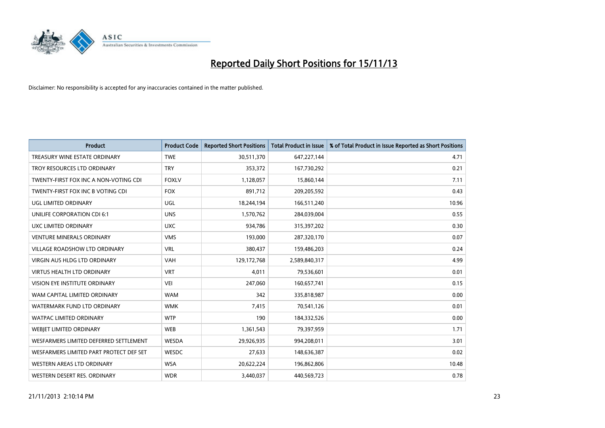

| <b>Product</b>                          | <b>Product Code</b> | <b>Reported Short Positions</b> | <b>Total Product in Issue</b> | % of Total Product in Issue Reported as Short Positions |
|-----------------------------------------|---------------------|---------------------------------|-------------------------------|---------------------------------------------------------|
| TREASURY WINE ESTATE ORDINARY           | <b>TWE</b>          | 30,511,370                      | 647,227,144                   | 4.71                                                    |
| TROY RESOURCES LTD ORDINARY             | <b>TRY</b>          | 353,372                         | 167,730,292                   | 0.21                                                    |
| TWENTY-FIRST FOX INC A NON-VOTING CDI   | <b>FOXLV</b>        | 1,128,057                       | 15,860,144                    | 7.11                                                    |
| TWENTY-FIRST FOX INC B VOTING CDI       | <b>FOX</b>          | 891,712                         | 209,205,592                   | 0.43                                                    |
| <b>UGL LIMITED ORDINARY</b>             | UGL                 | 18,244,194                      | 166,511,240                   | 10.96                                                   |
| UNILIFE CORPORATION CDI 6:1             | <b>UNS</b>          | 1,570,762                       | 284,039,004                   | 0.55                                                    |
| UXC LIMITED ORDINARY                    | <b>UXC</b>          | 934,786                         | 315,397,202                   | 0.30                                                    |
| <b>VENTURE MINERALS ORDINARY</b>        | <b>VMS</b>          | 193,000                         | 287,320,170                   | 0.07                                                    |
| <b>VILLAGE ROADSHOW LTD ORDINARY</b>    | <b>VRL</b>          | 380,437                         | 159,486,203                   | 0.24                                                    |
| VIRGIN AUS HLDG LTD ORDINARY            | <b>VAH</b>          | 129,172,768                     | 2,589,840,317                 | 4.99                                                    |
| <b>VIRTUS HEALTH LTD ORDINARY</b>       | <b>VRT</b>          | 4,011                           | 79,536,601                    | 0.01                                                    |
| VISION EYE INSTITUTE ORDINARY           | <b>VEI</b>          | 247,060                         | 160,657,741                   | 0.15                                                    |
| WAM CAPITAL LIMITED ORDINARY            | <b>WAM</b>          | 342                             | 335,818,987                   | 0.00                                                    |
| WATERMARK FUND LTD ORDINARY             | <b>WMK</b>          | 7,415                           | 70,541,126                    | 0.01                                                    |
| <b>WATPAC LIMITED ORDINARY</b>          | <b>WTP</b>          | 190                             | 184,332,526                   | 0.00                                                    |
| <b>WEBJET LIMITED ORDINARY</b>          | <b>WEB</b>          | 1,361,543                       | 79,397,959                    | 1.71                                                    |
| WESFARMERS LIMITED DEFERRED SETTLEMENT  | WESDA               | 29,926,935                      | 994,208,011                   | 3.01                                                    |
| WESFARMERS LIMITED PART PROTECT DEF SET | WESDC               | 27,633                          | 148,636,387                   | 0.02                                                    |
| WESTERN AREAS LTD ORDINARY              | <b>WSA</b>          | 20,622,224                      | 196,862,806                   | 10.48                                                   |
| WESTERN DESERT RES. ORDINARY            | <b>WDR</b>          | 3,440,037                       | 440,569,723                   | 0.78                                                    |